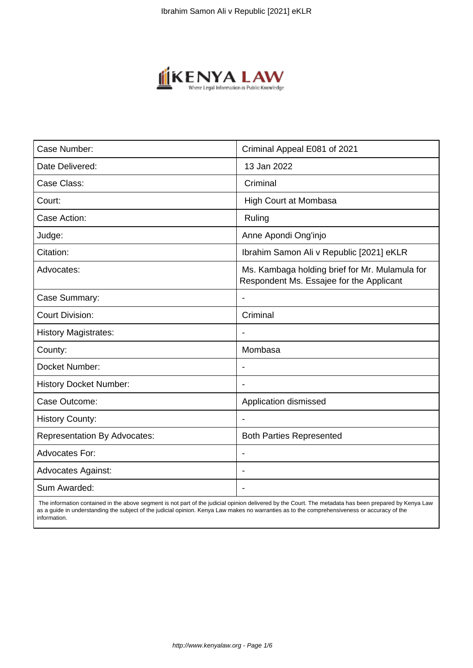

| Case Number:                        | Criminal Appeal E081 of 2021                                                               |
|-------------------------------------|--------------------------------------------------------------------------------------------|
| Date Delivered:                     | 13 Jan 2022                                                                                |
| Case Class:                         | Criminal                                                                                   |
| Court:                              | <b>High Court at Mombasa</b>                                                               |
| Case Action:                        | Ruling                                                                                     |
| Judge:                              | Anne Apondi Ong'injo                                                                       |
| Citation:                           | Ibrahim Samon Ali v Republic [2021] eKLR                                                   |
| Advocates:                          | Ms. Kambaga holding brief for Mr. Mulamula for<br>Respondent Ms. Essajee for the Applicant |
| Case Summary:                       |                                                                                            |
| <b>Court Division:</b>              | Criminal                                                                                   |
| <b>History Magistrates:</b>         | $\blacksquare$                                                                             |
| County:                             | Mombasa                                                                                    |
| Docket Number:                      |                                                                                            |
| <b>History Docket Number:</b>       |                                                                                            |
| Case Outcome:                       | Application dismissed                                                                      |
| <b>History County:</b>              | $\blacksquare$                                                                             |
| <b>Representation By Advocates:</b> | <b>Both Parties Represented</b>                                                            |
| <b>Advocates For:</b>               |                                                                                            |
| <b>Advocates Against:</b>           |                                                                                            |
| Sum Awarded:                        |                                                                                            |

 The information contained in the above segment is not part of the judicial opinion delivered by the Court. The metadata has been prepared by Kenya Law as a guide in understanding the subject of the judicial opinion. Kenya Law makes no warranties as to the comprehensiveness or accuracy of the information.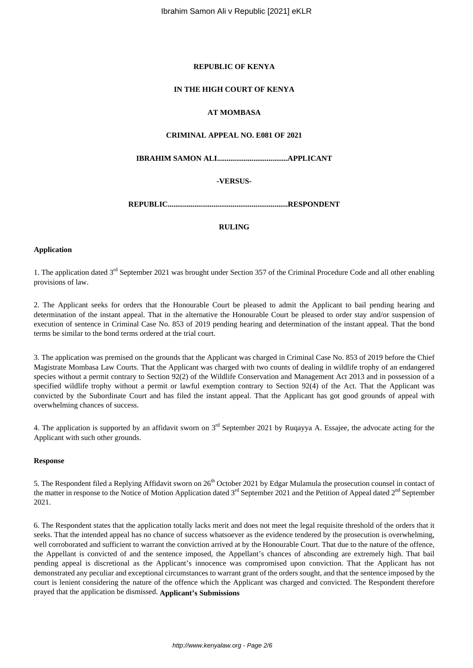## **REPUBLIC OF KENYA**

## **IN THE HIGH COURT OF KENYA**

# **AT MOMBASA**

# **CRIMINAL APPEAL NO. E081 OF 2021**

**IBRAHIM SAMON ALI.....................................APPLICANT**

# **-VERSUS-**

**REPUBLIC...............................................................RESPONDENT**

#### **RULING**

#### **Application**

1. The application dated 3<sup>rd</sup> September 2021 was brought under Section 357 of the Criminal Procedure Code and all other enabling provisions of law.

2. The Applicant seeks for orders that the Honourable Court be pleased to admit the Applicant to bail pending hearing and determination of the instant appeal. That in the alternative the Honourable Court be pleased to order stay and/or suspension of execution of sentence in Criminal Case No. 853 of 2019 pending hearing and determination of the instant appeal. That the bond terms be similar to the bond terms ordered at the trial court.

3. The application was premised on the grounds that the Applicant was charged in Criminal Case No. 853 of 2019 before the Chief Magistrate Mombasa Law Courts. That the Applicant was charged with two counts of dealing in wildlife trophy of an endangered species without a permit contrary to Section 92(2) of the Wildlife Conservation and Management Act 2013 and in possession of a specified wildlife trophy without a permit or lawful exemption contrary to Section 92(4) of the Act. That the Applicant was convicted by the Subordinate Court and has filed the instant appeal. That the Applicant has got good grounds of appeal with overwhelming chances of success.

4. The application is supported by an affidavit sworn on 3rd September 2021 by Ruqayya A. Essajee, the advocate acting for the Applicant with such other grounds.

#### **Response**

5. The Respondent filed a Replying Affidavit sworn on  $26<sup>th</sup>$  October 2021 by Edgar Mulamula the prosecution counsel in contact of the matter in response to the Notice of Motion Application dated 3<sup>rd</sup> September 2021 and the Petition of Appeal dated 2<sup>nd</sup> September 2021.

6. The Respondent states that the application totally lacks merit and does not meet the legal requisite threshold of the orders that it seeks. That the intended appeal has no chance of success whatsoever as the evidence tendered by the prosecution is overwhelming, well corroborated and sufficient to warrant the conviction arrived at by the Honourable Court. That due to the nature of the offence, the Appellant is convicted of and the sentence imposed, the Appellant's chances of absconding are extremely high. That bail pending appeal is discretional as the Applicant's innocence was compromised upon conviction. That the Applicant has not demonstrated any peculiar and exceptional circumstances to warrant grant of the orders sought, and that the sentence imposed by the court is lenient considering the nature of the offence which the Applicant was charged and convicted. The Respondent therefore prayed that the application be dismissed. **Applicant's Submissions**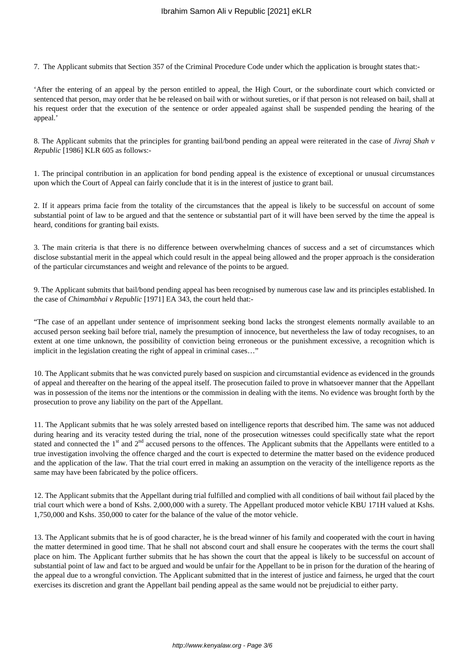7. The Applicant submits that Section 357 of the Criminal Procedure Code under which the application is brought states that:-

'After the entering of an appeal by the person entitled to appeal, the High Court, or the subordinate court which convicted or sentenced that person, may order that he be released on bail with or without sureties, or if that person is not released on bail, shall at his request order that the execution of the sentence or order appealed against shall be suspended pending the hearing of the appeal.'

8. The Applicant submits that the principles for granting bail/bond pending an appeal were reiterated in the case of *Jivraj Shah v Republic* [1986] KLR 605 as follows:-

1. The principal contribution in an application for bond pending appeal is the existence of exceptional or unusual circumstances upon which the Court of Appeal can fairly conclude that it is in the interest of justice to grant bail.

2. If it appears prima facie from the totality of the circumstances that the appeal is likely to be successful on account of some substantial point of law to be argued and that the sentence or substantial part of it will have been served by the time the appeal is heard, conditions for granting bail exists.

3. The main criteria is that there is no difference between overwhelming chances of success and a set of circumstances which disclose substantial merit in the appeal which could result in the appeal being allowed and the proper approach is the consideration of the particular circumstances and weight and relevance of the points to be argued.

9. The Applicant submits that bail/bond pending appeal has been recognised by numerous case law and its principles established. In the case of *Chimambhai v Republic* [1971] EA 343, the court held that:-

"The case of an appellant under sentence of imprisonment seeking bond lacks the strongest elements normally available to an accused person seeking bail before trial, namely the presumption of innocence, but nevertheless the law of today recognises, to an extent at one time unknown, the possibility of conviction being erroneous or the punishment excessive, a recognition which is implicit in the legislation creating the right of appeal in criminal cases…"

10. The Applicant submits that he was convicted purely based on suspicion and circumstantial evidence as evidenced in the grounds of appeal and thereafter on the hearing of the appeal itself. The prosecution failed to prove in whatsoever manner that the Appellant was in possession of the items nor the intentions or the commission in dealing with the items. No evidence was brought forth by the prosecution to prove any liability on the part of the Appellant.

11. The Applicant submits that he was solely arrested based on intelligence reports that described him. The same was not adduced during hearing and its veracity tested during the trial, none of the prosecution witnesses could specifically state what the report stated and connected the 1<sup>st</sup> and 2<sup>nd</sup> accused persons to the offences. The Applicant submits that the Appellants were entitled to a true investigation involving the offence charged and the court is expected to determine the matter based on the evidence produced and the application of the law. That the trial court erred in making an assumption on the veracity of the intelligence reports as the same may have been fabricated by the police officers.

12. The Applicant submits that the Appellant during trial fulfilled and complied with all conditions of bail without fail placed by the trial court which were a bond of Kshs. 2,000,000 with a surety. The Appellant produced motor vehicle KBU 171H valued at Kshs. 1,750,000 and Kshs. 350,000 to cater for the balance of the value of the motor vehicle.

13. The Applicant submits that he is of good character, he is the bread winner of his family and cooperated with the court in having the matter determined in good time. That he shall not abscond court and shall ensure he cooperates with the terms the court shall place on him. The Applicant further submits that he has shown the court that the appeal is likely to be successful on account of substantial point of law and fact to be argued and would be unfair for the Appellant to be in prison for the duration of the hearing of the appeal due to a wrongful conviction. The Applicant submitted that in the interest of justice and fairness, he urged that the court exercises its discretion and grant the Appellant bail pending appeal as the same would not be prejudicial to either party.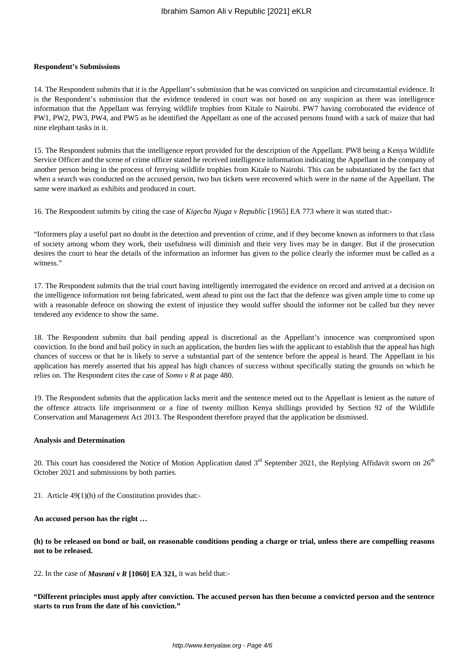#### **Respondent's Submissions**

14. The Respondent submits that it is the Appellant's submission that he was convicted on suspicion and circumstantial evidence. It is the Respondent's submission that the evidence tendered in court was not based on any suspicion as there was intelligence information that the Appellant was ferrying wildlife trophies from Kitale to Nairobi. PW7 having corroborated the evidence of PW1, PW2, PW3, PW4, and PW5 as he identified the Appellant as one of the accused persons found with a sack of maize that had nine elephant tasks in it.

15. The Respondent submits that the intelligence report provided for the description of the Appellant. PW8 being a Kenya Wildlife Service Officer and the scene of crime officer stated he received intelligence information indicating the Appellant in the company of another person being in the process of ferrying wildlife trophies from Kitale to Nairobi. This can be substantiated by the fact that when a search was conducted on the accused person, two bus tickets were recovered which were in the name of the Appellant. The same were marked as exhibits and produced in court.

16. The Respondent submits by citing the case of *Kigecha Njuga v Republic* [1965] EA 773 where it was stated that:-

"Informers play a useful part no doubt in the detection and prevention of crime, and if they become known as informers to that class of society among whom they work, their usefulness will diminish and their very lives may be in danger. But if the prosecution desires the court to hear the details of the information an informer has given to the police clearly the informer must be called as a witness."

17. The Respondent submits that the trial court having intelligently interrogated the evidence on record and arrived at a decision on the intelligence information not being fabricated, went ahead to pint out the fact that the defence was given ample time to come up with a reasonable defence on showing the extent of injustice they would suffer should the informer not be called but they never tendered any evidence to show the same.

18. The Respondent submits that bail pending appeal is discretional as the Appellant's innocence was compromised upon conviction. In the bond and bail policy in such an application, the burden lies with the applicant to establish that the appeal has high chances of success or that he is likely to serve a substantial part of the sentence before the appeal is heard. The Appellant in his application has merely asserted that his appeal has high chances of success without specifically stating the grounds on which he relies on. The Respondent cites the case of *Somo v R* at page 480.

19. The Respondent submits that the application lacks merit and the sentence meted out to the Appellant is lenient as the nature of the offence attracts life imprisonment or a fine of twenty million Kenya shillings provided by Section 92 of the Wildlife Conservation and Management Act 2013. The Respondent therefore prayed that the application be dismissed.

#### **Analysis and Determination**

20. This court has considered the Notice of Motion Application dated  $3<sup>rd</sup>$  September 2021, the Replying Affidavit sworn on  $26<sup>th</sup>$ October 2021 and submissions by both parties.

21. Article 49(1)(h) of the Constitution provides that:-

**An accused person has the right …**

**(h) to be released on bond or bail, on reasonable conditions pending a charge or trial, unless there are compelling reasons not to be released.**

22. In the case of *Masrani v R* **[1060] EA 321,** it was held that:-

**"Different principles must apply after conviction. The accused person has then become a convicted person and the sentence starts to run from the date of his conviction."**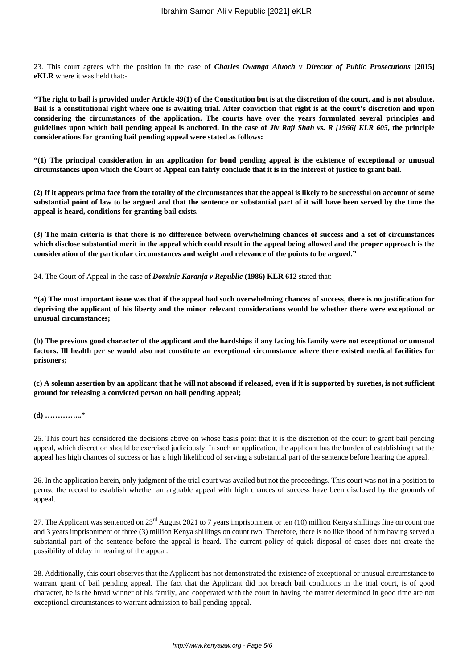23. This court agrees with the position in the case of *Charles Owanga Aluoch v Director of Public Prosecutions* **[2015] eKLR** where it was held that:-

**"The right to bail is provided under Article 49(1) of the Constitution but is at the discretion of the court, and is not absolute. Bail is a constitutional right where one is awaiting trial. After conviction that right is at the court's discretion and upon considering the circumstances of the application. The courts have over the years formulated several principles and guidelines upon which bail pending appeal is anchored. In the case of** *Jiv Raji Shah vs. R [1966] KLR 605***, the principle considerations for granting bail pending appeal were stated as follows:**

**"(1) The principal consideration in an application for bond pending appeal is the existence of exceptional or unusual circumstances upon which the Court of Appeal can fairly conclude that it is in the interest of justice to grant bail.**

**(2) If it appears prima face from the totality of the circumstances that the appeal is likely to be successful on account of some substantial point of law to be argued and that the sentence or substantial part of it will have been served by the time the appeal is heard, conditions for granting bail exists.**

**(3) The main criteria is that there is no difference between overwhelming chances of success and a set of circumstances which disclose substantial merit in the appeal which could result in the appeal being allowed and the proper approach is the consideration of the particular circumstances and weight and relevance of the points to be argued."**

24. The Court of Appeal in the case of *Dominic Karanja v Republic* **(1986) KLR 612** stated that:-

**"(a) The most important issue was that if the appeal had such overwhelming chances of success, there is no justification for depriving the applicant of his liberty and the minor relevant considerations would be whether there were exceptional or unusual circumstances;**

**(b) The previous good character of the applicant and the hardships if any facing his family were not exceptional or unusual factors. Ill health per se would also not constitute an exceptional circumstance where there existed medical facilities for prisoners;**

**(c) A solemn assertion by an applicant that he will not abscond if released, even if it is supported by sureties, is not sufficient ground for releasing a convicted person on bail pending appeal;**

# **(d) …………..."**

25. This court has considered the decisions above on whose basis point that it is the discretion of the court to grant bail pending appeal, which discretion should be exercised judiciously. In such an application, the applicant has the burden of establishing that the appeal has high chances of success or has a high likelihood of serving a substantial part of the sentence before hearing the appeal.

26. In the application herein, only judgment of the trial court was availed but not the proceedings. This court was not in a position to peruse the record to establish whether an arguable appeal with high chances of success have been disclosed by the grounds of appeal.

27. The Applicant was sentenced on  $23<sup>rd</sup>$  August 2021 to 7 years imprisonment or ten (10) million Kenya shillings fine on count one and 3 years imprisonment or three (3) million Kenya shillings on count two. Therefore, there is no likelihood of him having served a substantial part of the sentence before the appeal is heard. The current policy of quick disposal of cases does not create the possibility of delay in hearing of the appeal.

28. Additionally, this court observes that the Applicant has not demonstrated the existence of exceptional or unusual circumstance to warrant grant of bail pending appeal. The fact that the Applicant did not breach bail conditions in the trial court, is of good character, he is the bread winner of his family, and cooperated with the court in having the matter determined in good time are not exceptional circumstances to warrant admission to bail pending appeal.